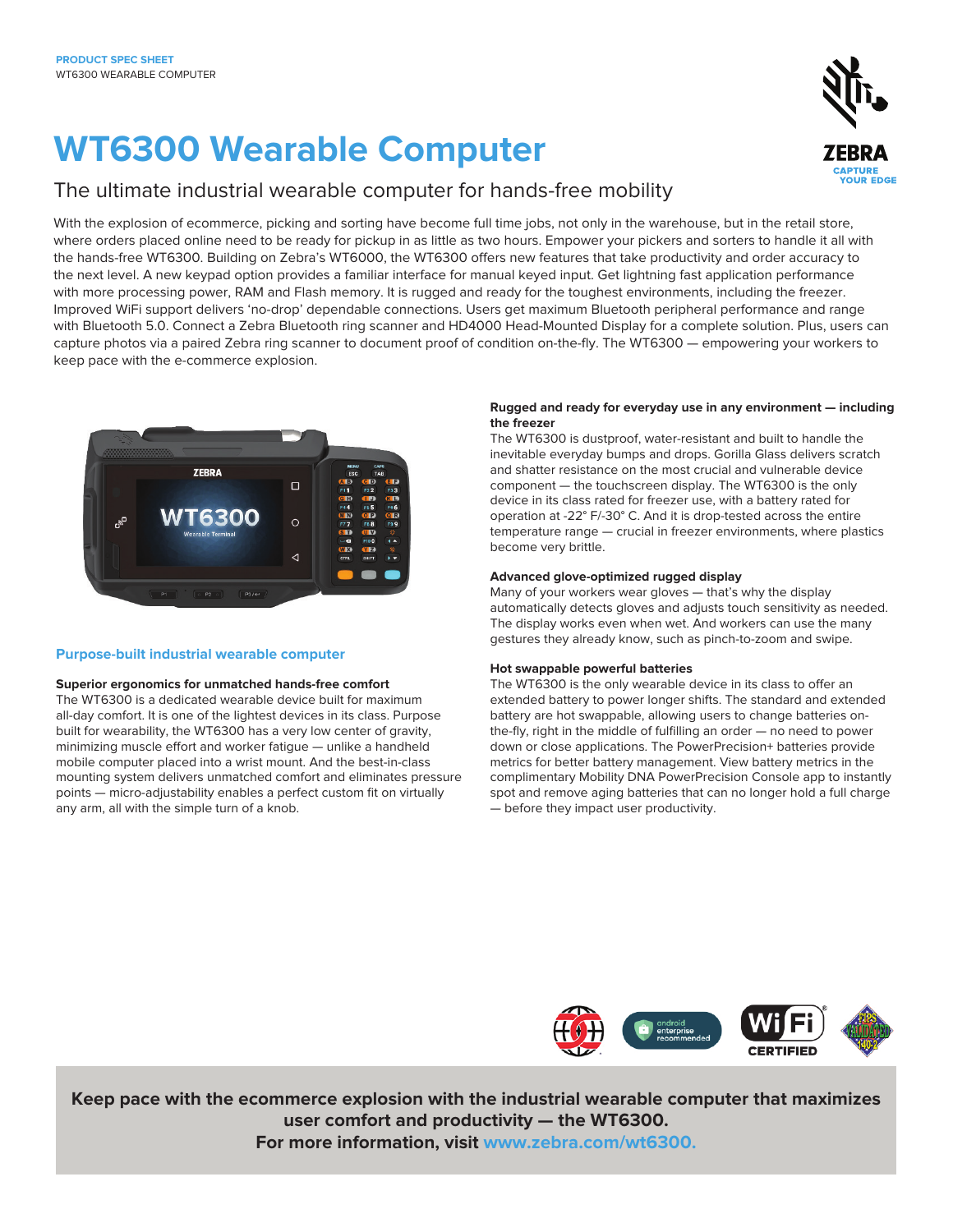# **WT6300 Wearable Computer**

### The ultimate industrial wearable computer for hands-free mobility

With the explosion of ecommerce, picking and sorting have become full time jobs, not only in the warehouse, but in the retail store, where orders placed online need to be ready for pickup in as little as two hours. Empower your pickers and sorters to handle it all with the hands-free WT6300. Building on Zebra's WT6000, the WT6300 offers new features that take productivity and order accuracy to the next level. A new keypad option provides a familiar interface for manual keyed input. Get lightning fast application performance with more processing power, RAM and Flash memory. It is rugged and ready for the toughest environments, including the freezer. Improved WiFi support delivers 'no-drop' dependable connections. Users get maximum Bluetooth peripheral performance and range with Bluetooth 5.0. Connect a Zebra Bluetooth ring scanner and HD4000 Head-Mounted Display for a complete solution. Plus, users can capture photos via a paired Zebra ring scanner to document proof of condition on-the-fly. The WT6300 — empowering your workers to keep pace with the e-commerce explosion.



#### **Purpose-built industrial wearable computer**

#### **Superior ergonomics for unmatched hands-free comfort**

The WT6300 is a dedicated wearable device built for maximum all-day comfort. It is one of the lightest devices in its class. Purpose built for wearability, the WT6300 has a very low center of gravity, minimizing muscle effort and worker fatigue — unlike a handheld mobile computer placed into a wrist mount. And the best-in-class mounting system delivers unmatched comfort and eliminates pressure points — micro-adjustability enables a perfect custom fit on virtually any arm, all with the simple turn of a knob.

#### **Rugged and ready for everyday use in any environment — including the freezer**

The WT6300 is dustproof, water-resistant and built to handle the inevitable everyday bumps and drops. Gorilla Glass delivers scratch and shatter resistance on the most crucial and vulnerable device component — the touchscreen display. The WT6300 is the only device in its class rated for freezer use, with a battery rated for operation at -22° F/-30° C. And it is drop-tested across the entire temperature range — crucial in freezer environments, where plastics become very brittle.

#### **Advanced glove-optimized rugged display**

Many of your workers wear gloves — that's why the display automatically detects gloves and adjusts touch sensitivity as needed. The display works even when wet. And workers can use the many gestures they already know, such as pinch-to-zoom and swipe.

#### **Hot swappable powerful batteries**

The WT6300 is the only wearable device in its class to offer an extended battery to power longer shifts. The standard and extended battery are hot swappable, allowing users to change batteries onthe-fly, right in the middle of fulfilling an order — no need to power down or close applications. The PowerPrecision+ batteries provide metrics for better battery management. View battery metrics in the complimentary Mobility DNA PowerPrecision Console app to instantly spot and remove aging batteries that can no longer hold a full charge — before they impact user productivity.



**Keep pace with the ecommerce explosion with the industrial wearable computer that maximizes user comfort and productivity — the WT6300.**

**For more information, visit [www.zebra.com/](http://www.zebra.com/wt6300)wt6300.**

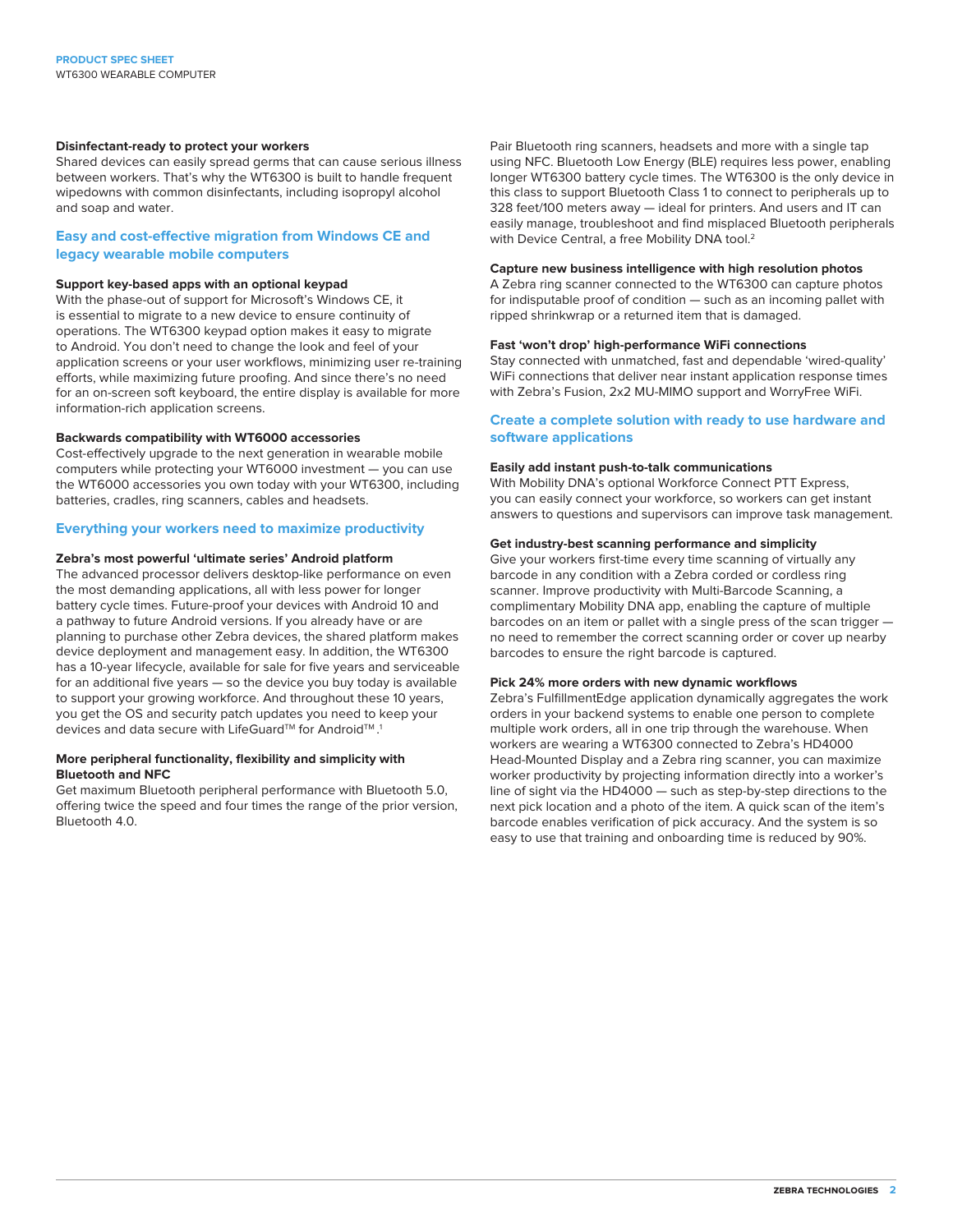#### **Disinfectant-ready to protect your workers**

Shared devices can easily spread germs that can cause serious illness between workers. That's why the WT6300 is built to handle frequent wipedowns with common disinfectants, including isopropyl alcohol and soap and water.

#### **Easy and cost-effective migration from Windows CE and legacy wearable mobile computers**

#### **Support key-based apps with an optional keypad**

With the phase-out of support for Microsoft's Windows CE, it is essential to migrate to a new device to ensure continuity of operations. The WT6300 keypad option makes it easy to migrate to Android. You don't need to change the look and feel of your application screens or your user workflows, minimizing user re-training efforts, while maximizing future proofing. And since there's no need for an on-screen soft keyboard, the entire display is available for more information-rich application screens.

#### **Backwards compatibility with WT6000 accessories**

Cost-effectively upgrade to the next generation in wearable mobile computers while protecting your WT6000 investment — you can use the WT6000 accessories you own today with your WT6300, including batteries, cradles, ring scanners, cables and headsets.

#### **Everything your workers need to maximize productivity**

#### **Zebra's most powerful 'ultimate series' Android platform**

The advanced processor delivers desktop-like performance on even the most demanding applications, all with less power for longer battery cycle times. Future-proof your devices with Android 10 and a pathway to future Android versions. If you already have or are planning to purchase other Zebra devices, the shared platform makes device deployment and management easy. In addition, the WT6300 has a 10-year lifecycle, available for sale for five years and serviceable for an additional five years — so the device you buy today is available to support your growing workforce. And throughout these 10 years, you get the OS and security patch updates you need to keep your devices and data secure with LifeGuard™ for Android™.1

#### **More peripheral functionality, flexibility and simplicity with Bluetooth and NFC**

Get maximum Bluetooth peripheral performance with Bluetooth 5.0, offering twice the speed and four times the range of the prior version, Bluetooth 4.0.

Pair Bluetooth ring scanners, headsets and more with a single tap using NFC. Bluetooth Low Energy (BLE) requires less power, enabling longer WT6300 battery cycle times. The WT6300 is the only device in this class to support Bluetooth Class 1 to connect to peripherals up to 328 feet/100 meters away — ideal for printers. And users and IT can easily manage, troubleshoot and find misplaced Bluetooth peripherals with Device Central, a free Mobility DNA tool.<sup>2</sup>

#### **Capture new business intelligence with high resolution photos**

A Zebra ring scanner connected to the WT6300 can capture photos for indisputable proof of condition — such as an incoming pallet with ripped shrinkwrap or a returned item that is damaged.

#### **Fast 'won't drop' high-performance WiFi connections**

Stay connected with unmatched, fast and dependable 'wired-quality' WiFi connections that deliver near instant application response times with Zebra's Fusion, 2x2 MU-MIMO support and WorryFree WiFi.

#### **Create a complete solution with ready to use hardware and software applications**

#### **Easily add instant push-to-talk communications**

With Mobility DNA's optional Workforce Connect PTT Express, you can easily connect your workforce, so workers can get instant answers to questions and supervisors can improve task management.

#### **Get industry-best scanning performance and simplicity**

Give your workers first-time every time scanning of virtually any barcode in any condition with a Zebra corded or cordless ring scanner. Improve productivity with Multi-Barcode Scanning, a complimentary Mobility DNA app, enabling the capture of multiple barcodes on an item or pallet with a single press of the scan trigger no need to remember the correct scanning order or cover up nearby barcodes to ensure the right barcode is captured.

#### **Pick 24% more orders with new dynamic workflows**

Zebra's FulfillmentEdge application dynamically aggregates the work orders in your backend systems to enable one person to complete multiple work orders, all in one trip through the warehouse. When workers are wearing a WT6300 connected to Zebra's HD4000 Head-Mounted Display and a Zebra ring scanner, you can maximize worker productivity by projecting information directly into a worker's line of sight via the HD4000 — such as step-by-step directions to the next pick location and a photo of the item. A quick scan of the item's barcode enables verification of pick accuracy. And the system is so easy to use that training and onboarding time is reduced by 90%.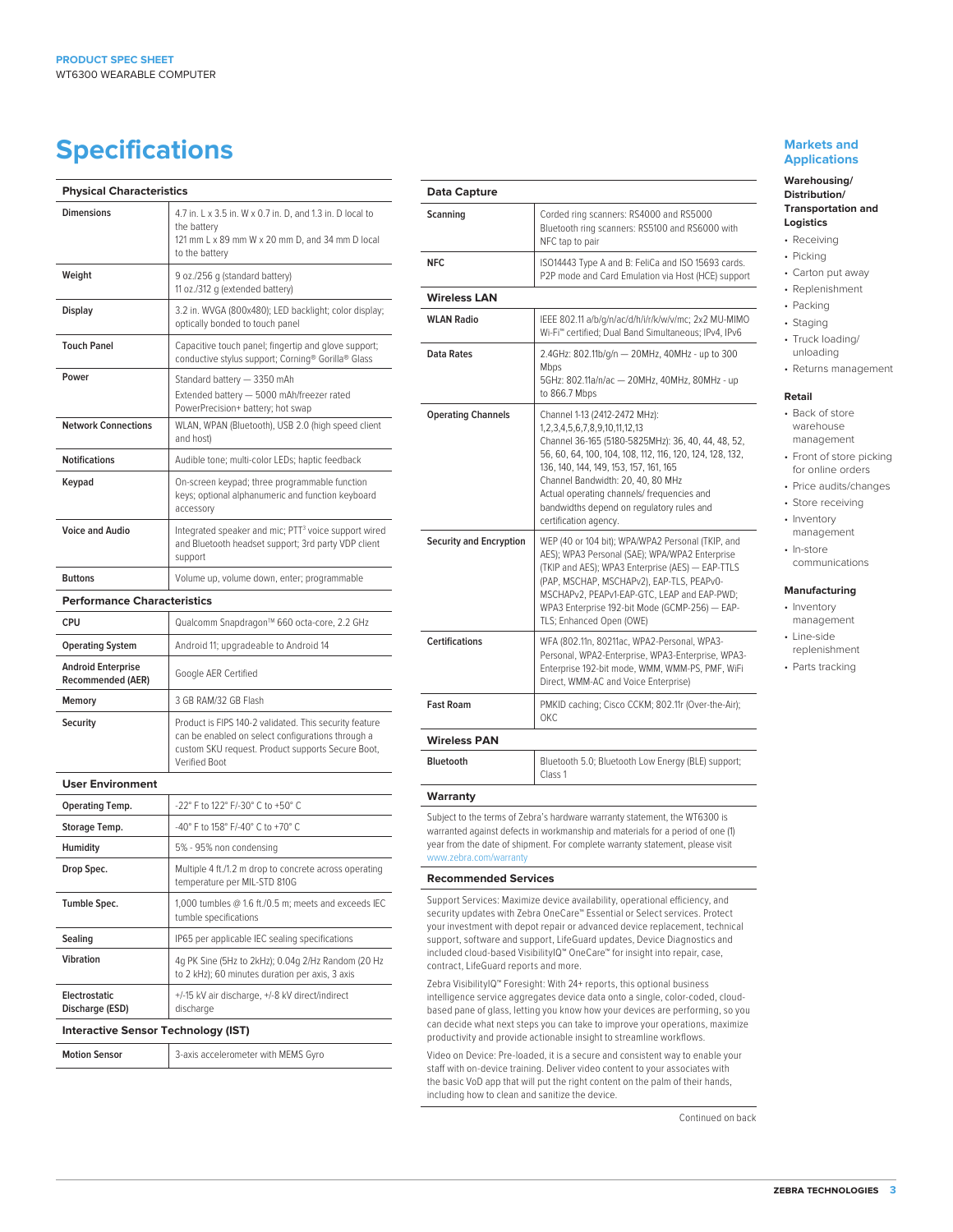## **Specifications Markets and** <br> **Specifications**

| <b>Physical Characteristics</b>                       |                                                                                                                                                                                   |
|-------------------------------------------------------|-----------------------------------------------------------------------------------------------------------------------------------------------------------------------------------|
| <b>Dimensions</b>                                     | 4.7 in. L x 3.5 in. W x 0.7 in. D, and 1.3 in. D local to<br>the battery<br>121 mm L x 89 mm W x 20 mm D, and 34 mm D local<br>to the battery                                     |
| Weight                                                | 9 oz./256 g (standard battery)<br>11 oz./312 g (extended battery)                                                                                                                 |
| Display                                               | 3.2 in. WVGA (800x480); LED backlight; color display;<br>optically bonded to touch panel                                                                                          |
| <b>Touch Panel</b>                                    | Capacitive touch panel; fingertip and glove support;<br>conductive stylus support; Corning® Gorilla® Glass                                                                        |
| Power<br><b>Network Connections</b>                   | Standard battery - 3350 mAh<br>Extended battery - 5000 mAh/freezer rated<br>PowerPrecision+ battery; hot swap<br>WLAN, WPAN (Bluetooth), USB 2.0 (high speed client               |
|                                                       | and host)                                                                                                                                                                         |
| <b>Notifications</b>                                  | Audible tone; multi-color LEDs; haptic feedback                                                                                                                                   |
| Keypad                                                | On-screen keypad; three programmable function<br>keys; optional alphanumeric and function keyboard<br>accessory                                                                   |
| <b>Voice and Audio</b>                                | Integrated speaker and mic; PTT <sup>3</sup> voice support wired<br>and Bluetooth headset support; 3rd party VDP client<br>support                                                |
| <b>Buttons</b>                                        | Volume up, volume down, enter; programmable                                                                                                                                       |
| <b>Performance Characteristics</b>                    |                                                                                                                                                                                   |
| <b>CPU</b>                                            | Qualcomm Snapdragon™ 660 octa-core, 2.2 GHz                                                                                                                                       |
| <b>Operating System</b>                               | Android 11; upgradeable to Android 14                                                                                                                                             |
| <b>Android Enterprise</b><br><b>Recommended (AER)</b> | Google AER Certified                                                                                                                                                              |
| Memory                                                | 3 GB RAM/32 GB Flash                                                                                                                                                              |
| Security                                              | Product is FIPS 140-2 validated. This security feature<br>can be enabled on select configurations through a<br>custom SKU request. Product supports Secure Boot,<br>Verified Boot |
| <b>User Environment</b>                               |                                                                                                                                                                                   |
| <b>Operating Temp.</b>                                | -22° F to 122° F/-30° C to +50° C                                                                                                                                                 |
| Storage Temp.                                         | -40° F to 158° F/-40° C to +70° C                                                                                                                                                 |
| <b>Humidity</b>                                       | 5% - 95% non condensing                                                                                                                                                           |
| Drop Spec.                                            | Multiple 4 ft./1.2 m drop to concrete across operating<br>temperature per MIL-STD 810G                                                                                            |
| Tumble Spec.                                          | 1,000 tumbles $@1.6$ ft./0.5 m; meets and exceeds IEC<br>tumble specifications                                                                                                    |
| Sealing                                               | IP65 per applicable IEC sealing specifications                                                                                                                                    |
| Vibration                                             | 4g PK Sine (5Hz to 2kHz); 0.04g 2/Hz Random (20 Hz<br>to 2 kHz); 60 minutes duration per axis, 3 axis                                                                             |
| <b>Electrostatic</b><br>Discharge (ESD)               | +/-15 kV air discharge, +/-8 kV direct/indirect<br>discharge                                                                                                                      |
| <b>Interactive Sensor Technology (IST)</b>            |                                                                                                                                                                                   |
| <b>Motion Sensor</b>                                  | 3-axis accelerometer with MEMS Gyro                                                                                                                                               |

| Scanning                              | Corded ring scanners: RS4000 and RS5000                                                                                                                                                                                                                                                                                                                                                            |
|---------------------------------------|----------------------------------------------------------------------------------------------------------------------------------------------------------------------------------------------------------------------------------------------------------------------------------------------------------------------------------------------------------------------------------------------------|
|                                       | Bluetooth ring scanners: RS5100 and RS6000 with<br>NFC tap to pair                                                                                                                                                                                                                                                                                                                                 |
| <b>NFC</b>                            | ISO14443 Type A and B: FeliCa and ISO 15693 cards.<br>P2P mode and Card Emulation via Host (HCE) support                                                                                                                                                                                                                                                                                           |
| <b>Wireless LAN</b>                   |                                                                                                                                                                                                                                                                                                                                                                                                    |
| <b>WLAN Radio</b>                     | IEEE 802.11 a/b/g/n/ac/d/h/i/r/k/w/v/mc; 2x2 MU-MIMO<br>Wi-Fi™ certified; Dual Band Simultaneous; IPv4, IPv6                                                                                                                                                                                                                                                                                       |
| Data Rates                            | 2.4GHz: 802.11b/g/n - 20MHz, 40MHz - up to 300<br>Mbps<br>5GHz: 802.11a/n/ac - 20MHz, 40MHz, 80MHz - up<br>to 866.7 Mbps                                                                                                                                                                                                                                                                           |
| <b>Operating Channels</b>             | Channel 1-13 (2412-2472 MHz):<br>1,2,3,4,5,6,7,8,9,10,11,12,13<br>Channel 36-165 (5180-5825MHz): 36, 40, 44, 48, 52,<br>56, 60, 64, 100, 104, 108, 112, 116, 120, 124, 128, 132,<br>136, 140, 144, 149, 153, 157, 161, 165<br>Channel Bandwidth: 20, 40, 80 MHz<br>Actual operating channels/ frequencies and<br>bandwidths depend on regulatory rules and<br>certification agency.                |
| <b>Security and Encryption</b>        | WEP (40 or 104 bit); WPA/WPA2 Personal (TKIP, and<br>AES); WPA3 Personal (SAE); WPA/WPA2 Enterprise<br>(TKIP and AES); WPA3 Enterprise (AES) - EAP-TTLS<br>(PAP, MSCHAP, MSCHAPv2), EAP-TLS, PEAPv0-<br>MSCHAPv2, PEAPv1-EAP-GTC, LEAP and EAP-PWD;<br>WPA3 Enterprise 192-bit Mode (GCMP-256) - EAP-<br>TLS; Enhanced Open (OWE)                                                                  |
| <b>Certifications</b>                 | WFA (802.11n, 80211ac, WPA2-Personal, WPA3-<br>Personal, WPA2-Enterprise, WPA3-Enterprise, WPA3-<br>Enterprise 192-bit mode, WMM, WMM-PS, PMF, WiFi<br>Direct, WMM-AC and Voice Enterprise)                                                                                                                                                                                                        |
| <b>Fast Roam</b>                      | PMKID caching; Cisco CCKM; 802.11r (Over-the-Air);<br>ОКС                                                                                                                                                                                                                                                                                                                                          |
| <b>Wireless PAN</b>                   |                                                                                                                                                                                                                                                                                                                                                                                                    |
| <b>Bluetooth</b>                      | Bluetooth 5.0; Bluetooth Low Energy (BLE) support;<br>Class 1                                                                                                                                                                                                                                                                                                                                      |
| Warranty                              |                                                                                                                                                                                                                                                                                                                                                                                                    |
| www.zebra.com/warranty                | Subject to the terms of Zebra's hardware warranty statement, the WT6300 is<br>warranted against defects in workmanship and materials for a period of one (1)<br>year from the date of shipment. For complete warranty statement, please visit                                                                                                                                                      |
| <b>Recommended Services</b>           |                                                                                                                                                                                                                                                                                                                                                                                                    |
| contract. LifeGuard reports and more. | Support Services: Maximize device availability, operational efficiency, and<br>security updates with Zebra OneCare™ Essential or Select services. Protect<br>your investment with depot repair or advanced device replacement, technical<br>support, software and support, LifeGuard updates, Device Diagnostics and<br>included cloud-based VisibilityIQ™ OneCare™ for insight into repair, case, |

Zebra VisibilityIQ™ Foresight: With 24+ reports, this optional business intelligence service aggregates device data onto a single, color-coded, cloudbased pane of glass, letting you know how your devices are performing, so you can decide what next steps you can take to improve your operations, maximize productivity and provide actionable insight to streamline workflows.

Video on Device: Pre-loaded, it is a secure and consistent way to enable your staff with on-device training. Deliver video content to your associates with the basic VoD app that will put the right content on the palm of their hands, including how to clean and sanitize the device.

Continued on back

### **Applications**

#### **Warehousing/ Distribution/ Transportation and Logistics**

- Receiving
- Picking
- Carton put away
- Replenishment
- Packing
- Staging
- Truck loading/ unloading
- Returns management

#### **Retail**

- Back of store warehouse management
- Front of store picking
- for online orders
- Price audits/changes
- Store receiving • Inventory
- management • In-store
- communications

#### **Manufacturing**

- Inventory management • Line-side
- replenishment
- Parts tracking